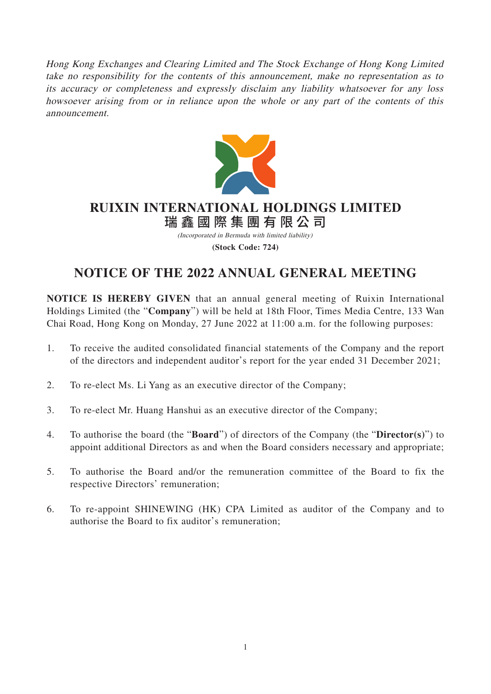Hong Kong Exchanges and Clearing Limited and The Stock Exchange of Hong Kong Limited take no responsibility for the contents of this announcement, make no representation as to its accuracy or completeness and expressly disclaim any liability whatsoever for any loss howsoever arising from or in reliance upon the whole or any part of the contents of this announcement.



# **RUIXIN INTERNATIONAL HOLDINGS LIMITED**

瑞鑫國際集團有限公 司 (Incorporated in Bermuda with limited liability)

**(Stock Code: 724)**

## **NOTICE OF THE 2022 ANNUAL GENERAL MEETING**

**NOTICE IS HEREBY GIVEN** that an annual general meeting of Ruixin International Holdings Limited (the "**Company**") will be held at 18th Floor, Times Media Centre, 133 Wan Chai Road, Hong Kong on Monday, 27 June 2022 at 11:00 a.m. for the following purposes:

- 1. To receive the audited consolidated financial statements of the Company and the report of the directors and independent auditor's report for the year ended 31 December 2021;
- 2. To re-elect Ms. Li Yang as an executive director of the Company;
- 3. To re-elect Mr. Huang Hanshui as an executive director of the Company;
- 4. To authorise the board (the "**Board**") of directors of the Company (the "**Director(s)**") to appoint additional Directors as and when the Board considers necessary and appropriate;
- 5. To authorise the Board and/or the remuneration committee of the Board to fix the respective Directors' remuneration;
- 6. To re-appoint SHINEWING (HK) CPA Limited as auditor of the Company and to authorise the Board to fix auditor's remuneration;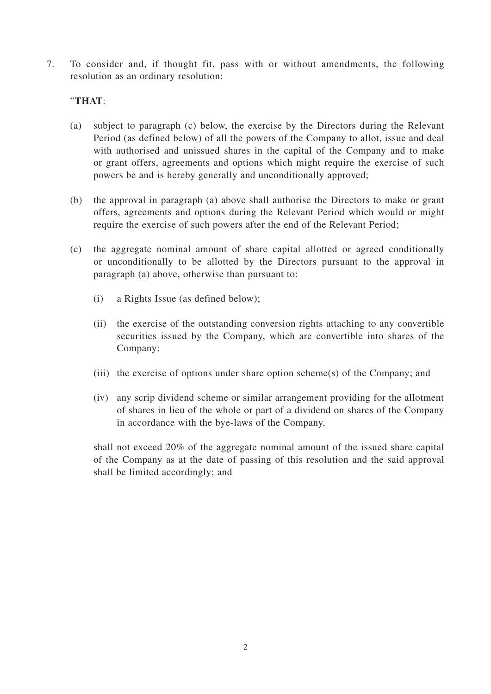7. To consider and, if thought fit, pass with or without amendments, the following resolution as an ordinary resolution:

### "**THAT**:

- (a) subject to paragraph (c) below, the exercise by the Directors during the Relevant Period (as defined below) of all the powers of the Company to allot, issue and deal with authorised and unissued shares in the capital of the Company and to make or grant offers, agreements and options which might require the exercise of such powers be and is hereby generally and unconditionally approved;
- (b) the approval in paragraph (a) above shall authorise the Directors to make or grant offers, agreements and options during the Relevant Period which would or might require the exercise of such powers after the end of the Relevant Period;
- (c) the aggregate nominal amount of share capital allotted or agreed conditionally or unconditionally to be allotted by the Directors pursuant to the approval in paragraph (a) above, otherwise than pursuant to:
	- (i) a Rights Issue (as defined below);
	- (ii) the exercise of the outstanding conversion rights attaching to any convertible securities issued by the Company, which are convertible into shares of the Company;
	- (iii) the exercise of options under share option scheme(s) of the Company; and
	- (iv) any scrip dividend scheme or similar arrangement providing for the allotment of shares in lieu of the whole or part of a dividend on shares of the Company in accordance with the bye-laws of the Company,

shall not exceed 20% of the aggregate nominal amount of the issued share capital of the Company as at the date of passing of this resolution and the said approval shall be limited accordingly; and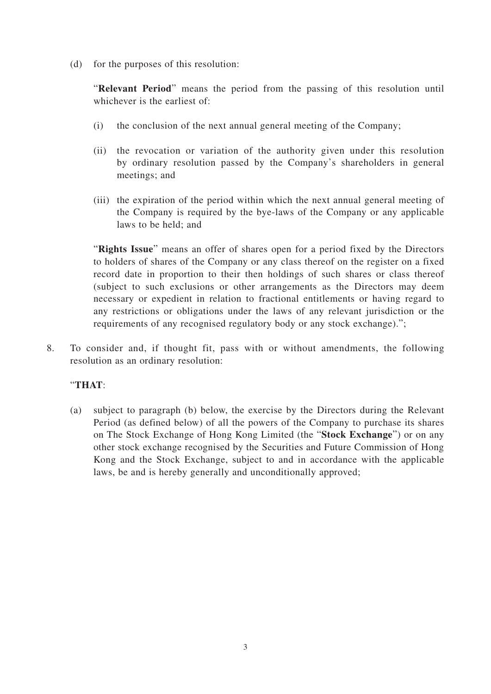(d) for the purposes of this resolution:

"**Relevant Period**" means the period from the passing of this resolution until whichever is the earliest of:

- (i) the conclusion of the next annual general meeting of the Company;
- (ii) the revocation or variation of the authority given under this resolution by ordinary resolution passed by the Company's shareholders in general meetings; and
- (iii) the expiration of the period within which the next annual general meeting of the Company is required by the bye-laws of the Company or any applicable laws to be held; and

"**Rights Issue**" means an offer of shares open for a period fixed by the Directors to holders of shares of the Company or any class thereof on the register on a fixed record date in proportion to their then holdings of such shares or class thereof (subject to such exclusions or other arrangements as the Directors may deem necessary or expedient in relation to fractional entitlements or having regard to any restrictions or obligations under the laws of any relevant jurisdiction or the requirements of any recognised regulatory body or any stock exchange).";

8. To consider and, if thought fit, pass with or without amendments, the following resolution as an ordinary resolution:

#### "**THAT**:

(a) subject to paragraph (b) below, the exercise by the Directors during the Relevant Period (as defined below) of all the powers of the Company to purchase its shares on The Stock Exchange of Hong Kong Limited (the "**Stock Exchange**") or on any other stock exchange recognised by the Securities and Future Commission of Hong Kong and the Stock Exchange, subject to and in accordance with the applicable laws, be and is hereby generally and unconditionally approved;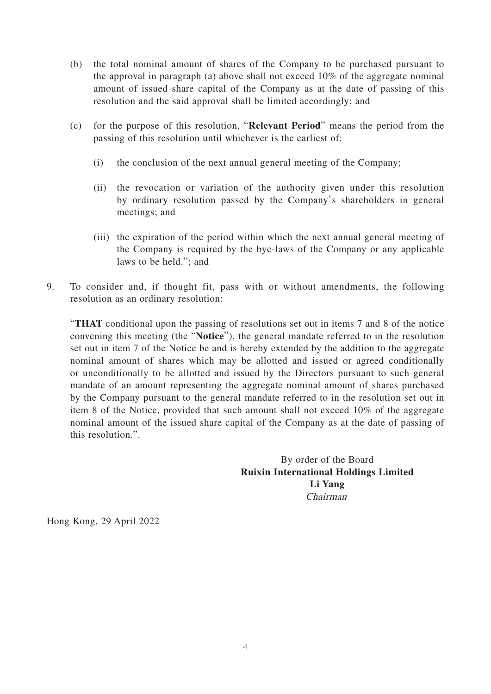- (b) the total nominal amount of shares of the Company to be purchased pursuant to the approval in paragraph (a) above shall not exceed 10% of the aggregate nominal amount of issued share capital of the Company as at the date of passing of this resolution and the said approval shall be limited accordingly; and
- (c) for the purpose of this resolution, "**Relevant Period**" means the period from the passing of this resolution until whichever is the earliest of:
	- (i) the conclusion of the next annual general meeting of the Company;
	- (ii) the revocation or variation of the authority given under this resolution by ordinary resolution passed by the Company's shareholders in general meetings; and
	- (iii) the expiration of the period within which the next annual general meeting of the Company is required by the bye-laws of the Company or any applicable laws to be held."; and
- 9. To consider and, if thought fit, pass with or without amendments, the following resolution as an ordinary resolution:

"**THAT** conditional upon the passing of resolutions set out in items 7 and 8 of the notice convening this meeting (the "**Notice**"), the general mandate referred to in the resolution set out in item 7 of the Notice be and is hereby extended by the addition to the aggregate nominal amount of shares which may be allotted and issued or agreed conditionally or unconditionally to be allotted and issued by the Directors pursuant to such general mandate of an amount representing the aggregate nominal amount of shares purchased by the Company pursuant to the general mandate referred to in the resolution set out in item 8 of the Notice, provided that such amount shall not exceed 10% of the aggregate nominal amount of the issued share capital of the Company as at the date of passing of this resolution.".

> By order of the Board **Ruixin International Holdings Limited Li Yang** Chairman

Hong Kong, 29 April 2022